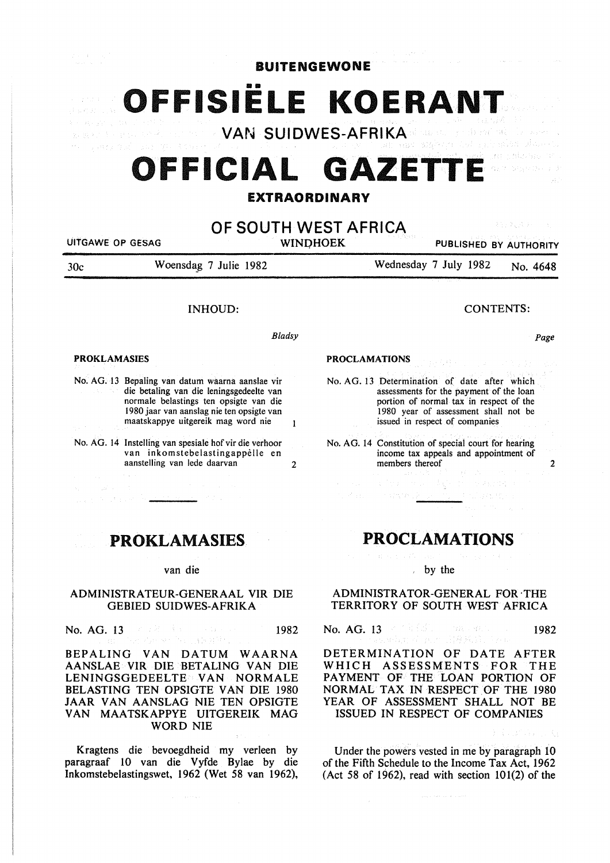**BUITENGEWONE** 

OFFISIËLE KOERAN<sup>®</sup> **VAN SUIDWES-AFRIKA**  es couverture

# **OFFICIAL GAZETTE**

## **EXTRAORDINARY**

| UITGAWE OP GESAG    |                                                                                                                                                                                                                           |   | OF SOUTH WEST AFRICA<br>209 프로그램<br><b>WINDHOEK</b><br>PUBLISHED BY AUTHORITY                                                                                                                                |  |  |
|---------------------|---------------------------------------------------------------------------------------------------------------------------------------------------------------------------------------------------------------------------|---|--------------------------------------------------------------------------------------------------------------------------------------------------------------------------------------------------------------|--|--|
| 30c                 | Woensdag 7 Julie 1982                                                                                                                                                                                                     |   | Wednesday 7 July 1982<br>No. 4648                                                                                                                                                                            |  |  |
|                     | <b>INHOUD:</b>                                                                                                                                                                                                            |   | <b>CONTENTS:</b>                                                                                                                                                                                             |  |  |
|                     | <b>Bladsy</b>                                                                                                                                                                                                             |   | Page                                                                                                                                                                                                         |  |  |
| <b>PROKLAMASIES</b> |                                                                                                                                                                                                                           |   | <b>PROCLAMATIONS</b>                                                                                                                                                                                         |  |  |
|                     | No. AG. 13 Bepaling van datum waarna aanslae vir<br>die betaling van die leningsgedeelte van<br>normale belastings ten opsigte van die<br>1980 jaar van aanslag nie ten opsigte van<br>maatskappye uitgereik mag word nie |   | No. AG. 13 Determination of date after which<br>assessments for the payment of the loan<br>portion of normal tax in respect of the<br>1980 year of assessment shall not be<br>issued in respect of companies |  |  |
|                     | No. AG. 14 Instelling van spesiale hof vir die verhoor<br>van inkomstebelastingappèlle en<br>aanstelling van lede daarvan                                                                                                 | 2 | No. AG. 14 Constitution of special court for hearing<br>income tax appeals and appointment of<br>members thereof                                                                                             |  |  |
|                     |                                                                                                                                                                                                                           |   | 计分布 医心包 医骨折<br>$15 - 5.282333 \pm 0.0000$<br>かくはい いちはや 座 ふくせい おぶえがたら                                                                                                                                         |  |  |

## PROKLAMASIES

#### van die

## ADMINISTRATEUR-GENERAAL VIR DIE GEBIED SUIDWES-AFRIKA

No. AG. 13 1982<br>1982 - Elizabeth Barriston, alexandro estable a 1982<br>1982

## BEPALING VAN DATUM WAARNA AANSLAE VIR DIE BETALING VAN DIE LENINGSGEDEELTE VAN NORMALE BELASTING TEN OPSIGTE VAN DIE 1980 JAAR VAN AANSLAG NIE TEN OPSIGTE VAN MAATSKAPPYE UITGEREIK MAG WORD NIE

Kragtens die bevoegdheid my verleen by paragraaf 10 van die Vyfde Bylae by die Inkomstebelastingswet, 1962 (Wet 58 van 1962),

## **PROCLAMATIONS**

by the

#### ADMINISTRATOR-GENERAL FOR ·THE TERRITORY OF SOUTH WEST AFRICA

No. AG. 13 1982 (1982) 1982 (1982) 1982<br>1982 - John Martin, Amerikaansk politikus († 1982

DETERMINATION OF DATE AFTER WHICH ASSESSMENTS FOR THE PAYMENT OF THE LOAN PORTION OF NORMAL TAX IN RESPECT OF THE 1980 YEAR OF ASSESSMENT SHALL NOT BE ISSUED IN RESPECT OF COMPANIES

Under the powers vested in me by paragraph 10 of the Fifth Schedule to the Income Tax Act, 1962 (Act 58 of 1962), read with section  $101(2)$  of the

and a service and const